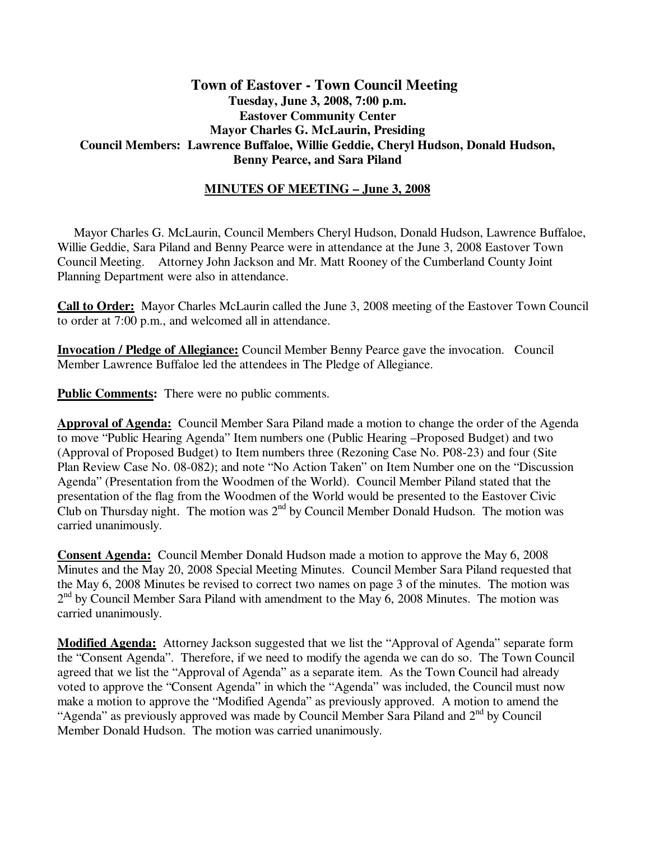# **Town of Eastover - Town Council Meeting Tuesday, June 3, 2008, 7:00 p.m. Eastover Community Center Mayor Charles G. McLaurin, Presiding Council Members: Lawrence Buffaloe, Willie Geddie, Cheryl Hudson, Donald Hudson, Benny Pearce, and Sara Piland**

## **MINUTES OF MEETING – June 3, 2008**

 Mayor Charles G. McLaurin, Council Members Cheryl Hudson, Donald Hudson, Lawrence Buffaloe, Willie Geddie, Sara Piland and Benny Pearce were in attendance at the June 3, 2008 Eastover Town Council Meeting. Attorney John Jackson and Mr. Matt Rooney of the Cumberland County Joint Planning Department were also in attendance.

**Call to Order:** Mayor Charles McLaurin called the June 3, 2008 meeting of the Eastover Town Council to order at 7:00 p.m., and welcomed all in attendance.

**Invocation / Pledge of Allegiance:** Council Member Benny Pearce gave the invocation. Council Member Lawrence Buffaloe led the attendees in The Pledge of Allegiance.

**Public Comments:** There were no public comments.

**Approval of Agenda:** Council Member Sara Piland made a motion to change the order of the Agenda to move "Public Hearing Agenda" Item numbers one (Public Hearing –Proposed Budget) and two (Approval of Proposed Budget) to Item numbers three (Rezoning Case No. P08-23) and four (Site Plan Review Case No. 08-082); and note "No Action Taken" on Item Number one on the "Discussion Agenda" (Presentation from the Woodmen of the World). Council Member Piland stated that the presentation of the flag from the Woodmen of the World would be presented to the Eastover Civic Club on Thursday night. The motion was  $2<sup>nd</sup>$  by Council Member Donald Hudson. The motion was carried unanimously.

**Consent Agenda:** Council Member Donald Hudson made a motion to approve the May 6, 2008 Minutes and the May 20, 2008 Special Meeting Minutes. Council Member Sara Piland requested that the May 6, 2008 Minutes be revised to correct two names on page 3 of the minutes. The motion was 2<sup>nd</sup> by Council Member Sara Piland with amendment to the May 6, 2008 Minutes. The motion was carried unanimously.

**Modified Agenda:** Attorney Jackson suggested that we list the "Approval of Agenda" separate form the "Consent Agenda". Therefore, if we need to modify the agenda we can do so. The Town Council agreed that we list the "Approval of Agenda" as a separate item. As the Town Council had already voted to approve the "Consent Agenda" in which the "Agenda" was included, the Council must now make a motion to approve the "Modified Agenda" as previously approved. A motion to amend the "Agenda" as previously approved was made by Council Member Sara Piland and  $2<sup>nd</sup>$  by Council Member Donald Hudson. The motion was carried unanimously.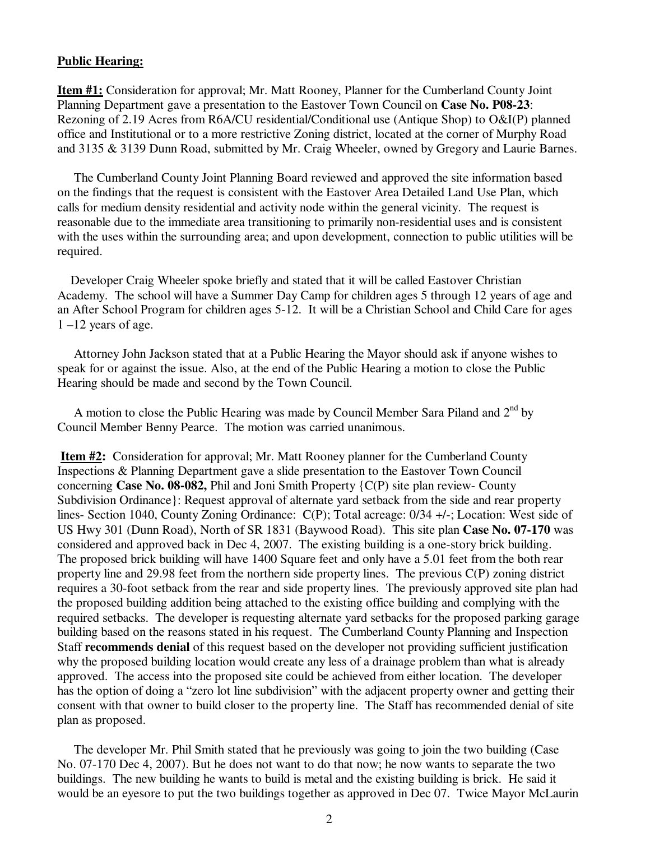#### **Public Hearing:**

**Item #1:** Consideration for approval; Mr. Matt Rooney, Planner for the Cumberland County Joint Planning Department gave a presentation to the Eastover Town Council on **Case No. P08-23**: Rezoning of 2.19 Acres from R6A/CU residential/Conditional use (Antique Shop) to O&I(P) planned office and Institutional or to a more restrictive Zoning district, located at the corner of Murphy Road and 3135 & 3139 Dunn Road, submitted by Mr. Craig Wheeler, owned by Gregory and Laurie Barnes.

 The Cumberland County Joint Planning Board reviewed and approved the site information based on the findings that the request is consistent with the Eastover Area Detailed Land Use Plan, which calls for medium density residential and activity node within the general vicinity. The request is reasonable due to the immediate area transitioning to primarily non-residential uses and is consistent with the uses within the surrounding area; and upon development, connection to public utilities will be required.

 Developer Craig Wheeler spoke briefly and stated that it will be called Eastover Christian Academy. The school will have a Summer Day Camp for children ages 5 through 12 years of age and an After School Program for children ages 5-12. It will be a Christian School and Child Care for ages 1 –12 years of age.

 Attorney John Jackson stated that at a Public Hearing the Mayor should ask if anyone wishes to speak for or against the issue. Also, at the end of the Public Hearing a motion to close the Public Hearing should be made and second by the Town Council.

A motion to close the Public Hearing was made by Council Member Sara Piland and  $2<sup>nd</sup>$  by Council Member Benny Pearce. The motion was carried unanimous.

**Item #2:** Consideration for approval; Mr. Matt Rooney planner for the Cumberland County Inspections & Planning Department gave a slide presentation to the Eastover Town Council concerning **Case No. 08-082,** Phil and Joni Smith Property {C(P) site plan review- County Subdivision Ordinance}: Request approval of alternate yard setback from the side and rear property lines- Section 1040, County Zoning Ordinance: C(P); Total acreage: 0/34 +/-; Location: West side of US Hwy 301 (Dunn Road), North of SR 1831 (Baywood Road). This site plan **Case No. 07-170** was considered and approved back in Dec 4, 2007. The existing building is a one-story brick building. The proposed brick building will have 1400 Square feet and only have a 5.01 feet from the both rear property line and 29.98 feet from the northern side property lines. The previous C(P) zoning district requires a 30-foot setback from the rear and side property lines. The previously approved site plan had the proposed building addition being attached to the existing office building and complying with the required setbacks. The developer is requesting alternate yard setbacks for the proposed parking garage building based on the reasons stated in his request. The Cumberland County Planning and Inspection Staff **recommends denial** of this request based on the developer not providing sufficient justification why the proposed building location would create any less of a drainage problem than what is already approved. The access into the proposed site could be achieved from either location. The developer has the option of doing a "zero lot line subdivision" with the adjacent property owner and getting their consent with that owner to build closer to the property line. The Staff has recommended denial of site plan as proposed.

 The developer Mr. Phil Smith stated that he previously was going to join the two building (Case No. 07-170 Dec 4, 2007). But he does not want to do that now; he now wants to separate the two buildings. The new building he wants to build is metal and the existing building is brick. He said it would be an eyesore to put the two buildings together as approved in Dec 07. Twice Mayor McLaurin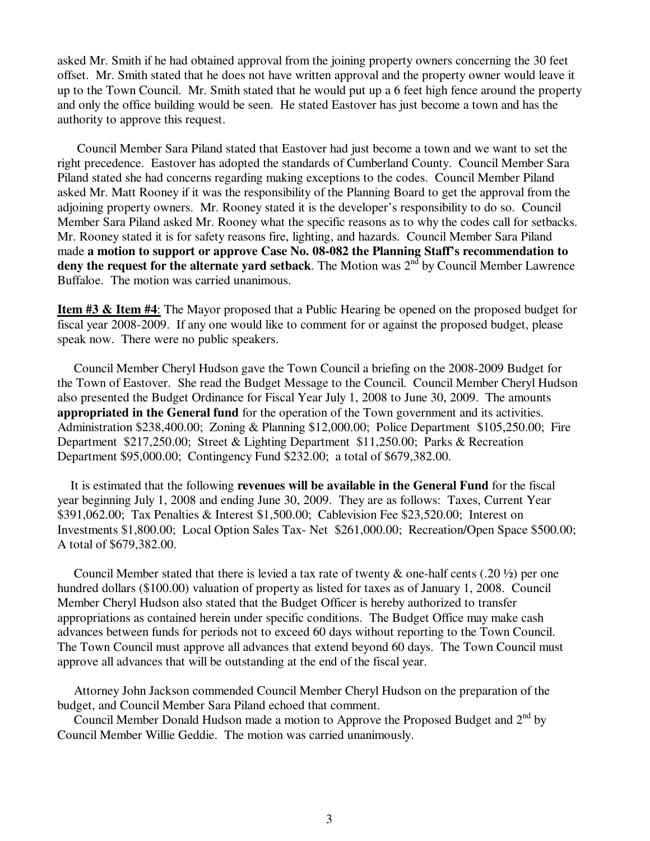asked Mr. Smith if he had obtained approval from the joining property owners concerning the 30 feet offset. Mr. Smith stated that he does not have written approval and the property owner would leave it up to the Town Council. Mr. Smith stated that he would put up a 6 feet high fence around the property and only the office building would be seen. He stated Eastover has just become a town and has the authority to approve this request.

 Council Member Sara Piland stated that Eastover had just become a town and we want to set the right precedence. Eastover has adopted the standards of Cumberland County. Council Member Sara Piland stated she had concerns regarding making exceptions to the codes. Council Member Piland asked Mr. Matt Rooney if it was the responsibility of the Planning Board to get the approval from the adjoining property owners. Mr. Rooney stated it is the developer's responsibility to do so. Council Member Sara Piland asked Mr. Rooney what the specific reasons as to why the codes call for setbacks. Mr. Rooney stated it is for safety reasons fire, lighting, and hazards. Council Member Sara Piland made **a motion to support or approve Case No. 08-082 the Planning Staff's recommendation to**  deny the request for the alternate vard setback. The Motion was 2<sup>nd</sup> by Council Member Lawrence Buffaloe. The motion was carried unanimous.

**Item #3 & Item #4**: The Mayor proposed that a Public Hearing be opened on the proposed budget for fiscal year 2008-2009. If any one would like to comment for or against the proposed budget, please speak now. There were no public speakers.

 Council Member Cheryl Hudson gave the Town Council a briefing on the 2008-2009 Budget for the Town of Eastover. She read the Budget Message to the Council. Council Member Cheryl Hudson also presented the Budget Ordinance for Fiscal Year July 1, 2008 to June 30, 2009. The amounts **appropriated in the General fund** for the operation of the Town government and its activities. Administration \$238,400.00; Zoning & Planning \$12,000.00; Police Department \$105,250.00; Fire Department \$217,250.00; Street & Lighting Department \$11,250.00; Parks & Recreation Department \$95,000.00; Contingency Fund \$232.00; a total of \$679,382.00.

 It is estimated that the following **revenues will be available in the General Fund** for the fiscal year beginning July 1, 2008 and ending June 30, 2009. They are as follows: Taxes, Current Year \$391,062.00; Tax Penalties & Interest \$1,500.00; Cablevision Fee \$23,520.00; Interest on Investments \$1,800.00; Local Option Sales Tax- Net \$261,000.00; Recreation/Open Space \$500.00; A total of \$679,382.00.

Council Member stated that there is levied a tax rate of twenty  $\&$  one-half cents (.20  $\frac{1}{2}$ ) per one hundred dollars (\$100.00) valuation of property as listed for taxes as of January 1, 2008. Council Member Cheryl Hudson also stated that the Budget Officer is hereby authorized to transfer appropriations as contained herein under specific conditions. The Budget Office may make cash advances between funds for periods not to exceed 60 days without reporting to the Town Council. The Town Council must approve all advances that extend beyond 60 days. The Town Council must approve all advances that will be outstanding at the end of the fiscal year.

 Attorney John Jackson commended Council Member Cheryl Hudson on the preparation of the budget, and Council Member Sara Piland echoed that comment.

Council Member Donald Hudson made a motion to Approve the Proposed Budget and  $2<sup>nd</sup>$  by Council Member Willie Geddie. The motion was carried unanimously.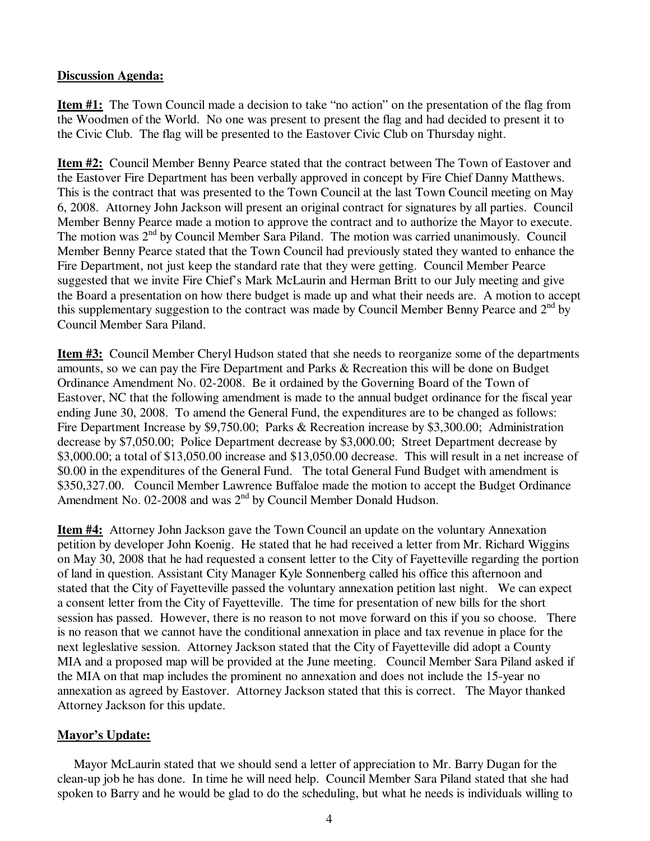### **Discussion Agenda:**

**Item #1:** The Town Council made a decision to take "no action" on the presentation of the flag from the Woodmen of the World. No one was present to present the flag and had decided to present it to the Civic Club. The flag will be presented to the Eastover Civic Club on Thursday night.

**Item #2:** Council Member Benny Pearce stated that the contract between The Town of Eastover and the Eastover Fire Department has been verbally approved in concept by Fire Chief Danny Matthews. This is the contract that was presented to the Town Council at the last Town Council meeting on May 6, 2008. Attorney John Jackson will present an original contract for signatures by all parties. Council Member Benny Pearce made a motion to approve the contract and to authorize the Mayor to execute. The motion was 2<sup>nd</sup> by Council Member Sara Piland. The motion was carried unanimously. Council Member Benny Pearce stated that the Town Council had previously stated they wanted to enhance the Fire Department, not just keep the standard rate that they were getting. Council Member Pearce suggested that we invite Fire Chief's Mark McLaurin and Herman Britt to our July meeting and give the Board a presentation on how there budget is made up and what their needs are. A motion to accept this supplementary suggestion to the contract was made by Council Member Benny Pearce and  $2<sup>nd</sup>$  by Council Member Sara Piland.

**Item #3:** Council Member Cheryl Hudson stated that she needs to reorganize some of the departments amounts, so we can pay the Fire Department and Parks & Recreation this will be done on Budget Ordinance Amendment No. 02-2008. Be it ordained by the Governing Board of the Town of Eastover, NC that the following amendment is made to the annual budget ordinance for the fiscal year ending June 30, 2008. To amend the General Fund, the expenditures are to be changed as follows: Fire Department Increase by \$9,750.00; Parks & Recreation increase by \$3,300.00; Administration decrease by \$7,050.00; Police Department decrease by \$3,000.00; Street Department decrease by \$3,000.00; a total of \$13,050.00 increase and \$13,050.00 decrease. This will result in a net increase of \$0.00 in the expenditures of the General Fund. The total General Fund Budget with amendment is \$350,327.00. Council Member Lawrence Buffaloe made the motion to accept the Budget Ordinance Amendment No. 02-2008 and was  $2<sup>nd</sup>$  by Council Member Donald Hudson.

**Item #4:** Attorney John Jackson gave the Town Council an update on the voluntary Annexation petition by developer John Koenig.He stated that he had received a letter from Mr. Richard Wiggins on May 30, 2008 that he had requested a consent letter to the City of Fayetteville regarding the portion of land in question. Assistant City Manager Kyle Sonnenberg called his office this afternoon and stated that the City of Fayetteville passed the voluntary annexation petition last night. We can expect a consent letter from the City of Fayetteville. The time for presentation of new bills for the short session has passed. However, there is no reason to not move forward on this if you so choose. There is no reason that we cannot have the conditional annexation in place and tax revenue in place for the next legleslative session. Attorney Jackson stated that the City of Fayetteville did adopt a County MIA and a proposed map will be provided at the June meeting. Council Member Sara Piland asked if the MIA on that map includes the prominent no annexation and does not include the 15-year no annexation as agreed by Eastover. Attorney Jackson stated that this is correct. The Mayor thanked Attorney Jackson for this update.

# **Mayor's Update:**

 Mayor McLaurin stated that we should send a letter of appreciation to Mr. Barry Dugan for the clean-up job he has done. In time he will need help. Council Member Sara Piland stated that she had spoken to Barry and he would be glad to do the scheduling, but what he needs is individuals willing to